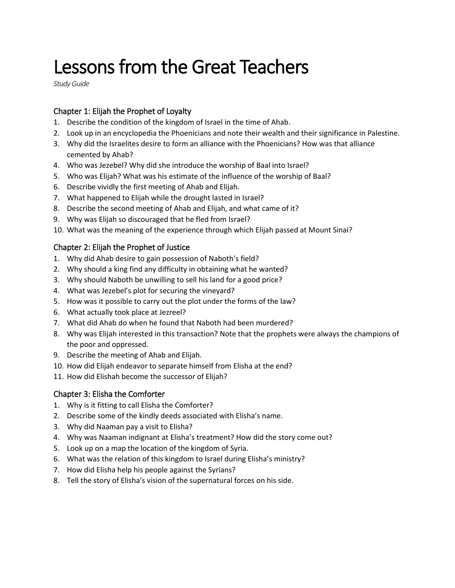# Lessons from the Great Teachers

*Study Guide*

## Chapter 1: Elijah the Prophet of Loyalty

- 1. Describe the condition of the kingdom of Israel in the time of Ahab.
- 2. Look up in an encyclopedia the Phoenicians and note their wealth and their significance in Palestine.
- 3. Why did the Israelites desire to form an alliance with the Phoenicians? How was that alliance cemented by Ahab?
- 4. Who was Jezebel? Why did she introduce the worship of Baal into Israel?
- 5. Who was Elijah? What was his estimate of the influence of the worship of Baal?
- 6. Describe vividly the first meeting of Ahab and Elijah.
- 7. What happened to Elijah while the drought lasted in Israel?
- 8. Describe the second meeting of Ahab and Elijah, and what came of it?
- 9. Why was Elijah so discouraged that he fled from Israel?
- 10. What was the meaning of the experience through which Elijah passed at Mount Sinai?

## Chapter 2: Elijah the Prophet of Justice

- 1. Why did Ahab desire to gain possession of Naboth's field?
- 2. Why should a king find any difficulty in obtaining what he wanted?
- 3. Why should Naboth be unwilling to sell his land for a good price?
- 4. What was Jezebel's plot for securing the vineyard?
- 5. How was it possible to carry out the plot under the forms of the law?
- 6. What actually took place at Jezreel?
- 7. What did Ahab do when he found that Naboth had been murdered?
- 8. Why was Elijah interested in this transaction? Note that the prophets were always the champions of the poor and oppressed.
- 9. Describe the meeting of Ahab and Elijah.
- 10. How did Elijah endeavor to separate himself from Elisha at the end?
- 11. How did Elishah become the successor of Elijah?

## Chapter 3: Elisha the Comforter

- 1. Why is it fitting to call Elisha the Comforter?
- 2. Describe some of the kindly deeds associated with Elisha's name.
- 3. Why did Naaman pay a visit to Elisha?
- 4. Why was Naaman indignant at Elisha's treatment? How did the story come out?
- 5. Look up on a map the location of the kingdom of Syria.
- 6. What was the relation of this kingdom to Israel during Elisha's ministry?
- 7. How did Elisha help his people against the Syrians?
- 8. Tell the story of Elisha's vision of the supernatural forces on his side.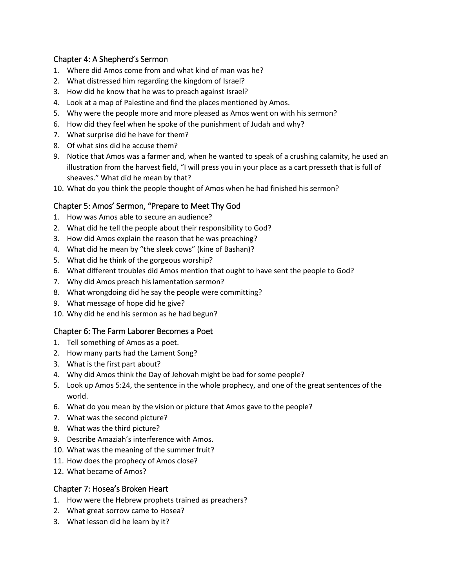#### Chapter 4: A Shepherd's Sermon

- 1. Where did Amos come from and what kind of man was he?
- 2. What distressed him regarding the kingdom of Israel?
- 3. How did he know that he was to preach against Israel?
- 4. Look at a map of Palestine and find the places mentioned by Amos.
- 5. Why were the people more and more pleased as Amos went on with his sermon?
- 6. How did they feel when he spoke of the punishment of Judah and why?
- 7. What surprise did he have for them?
- 8. Of what sins did he accuse them?
- 9. Notice that Amos was a farmer and, when he wanted to speak of a crushing calamity, he used an illustration from the harvest field, "I will press you in your place as a cart presseth that is full of sheaves." What did he mean by that?
- 10. What do you think the people thought of Amos when he had finished his sermon?

## Chapter 5: Amos' Sermon, "Prepare to Meet Thy God

- 1. How was Amos able to secure an audience?
- 2. What did he tell the people about their responsibility to God?
- 3. How did Amos explain the reason that he was preaching?
- 4. What did he mean by "the sleek cows" (kine of Bashan)?
- 5. What did he think of the gorgeous worship?
- 6. What different troubles did Amos mention that ought to have sent the people to God?
- 7. Why did Amos preach his lamentation sermon?
- 8. What wrongdoing did he say the people were committing?
- 9. What message of hope did he give?
- 10. Why did he end his sermon as he had begun?

## Chapter 6: The Farm Laborer Becomes a Poet

- 1. Tell something of Amos as a poet.
- 2. How many parts had the Lament Song?
- 3. What is the first part about?
- 4. Why did Amos think the Day of Jehovah might be bad for some people?
- 5. Look up Amos 5:24, the sentence in the whole prophecy, and one of the great sentences of the world.
- 6. What do you mean by the vision or picture that Amos gave to the people?
- 7. What was the second picture?
- 8. What was the third picture?
- 9. Describe Amaziah's interference with Amos.
- 10. What was the meaning of the summer fruit?
- 11. How does the prophecy of Amos close?
- 12. What became of Amos?

## Chapter 7: Hosea's Broken Heart

- 1. How were the Hebrew prophets trained as preachers?
- 2. What great sorrow came to Hosea?
- 3. What lesson did he learn by it?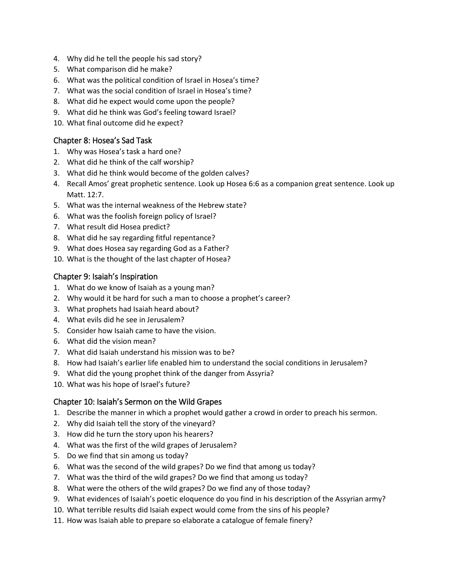- 4. Why did he tell the people his sad story?
- 5. What comparison did he make?
- 6. What was the political condition of Israel in Hosea's time?
- 7. What was the social condition of Israel in Hosea's time?
- 8. What did he expect would come upon the people?
- 9. What did he think was God's feeling toward Israel?
- 10. What final outcome did he expect?

#### Chapter 8: Hosea's Sad Task

- 1. Why was Hosea's task a hard one?
- 2. What did he think of the calf worship?
- 3. What did he think would become of the golden calves?
- 4. Recall Amos' great prophetic sentence. Look up Hosea 6:6 as a companion great sentence. Look up Matt. 12:7.
- 5. What was the internal weakness of the Hebrew state?
- 6. What was the foolish foreign policy of Israel?
- 7. What result did Hosea predict?
- 8. What did he say regarding fitful repentance?
- 9. What does Hosea say regarding God as a Father?
- 10. What is the thought of the last chapter of Hosea?

#### Chapter 9: Isaiah's Inspiration

- 1. What do we know of Isaiah as a young man?
- 2. Why would it be hard for such a man to choose a prophet's career?
- 3. What prophets had Isaiah heard about?
- 4. What evils did he see in Jerusalem?
- 5. Consider how Isaiah came to have the vision.
- 6. What did the vision mean?
- 7. What did Isaiah understand his mission was to be?
- 8. How had Isaiah's earlier life enabled him to understand the social conditions in Jerusalem?
- 9. What did the young prophet think of the danger from Assyria?
- 10. What was his hope of Israel's future?

#### Chapter 10: Isaiah's Sermon on the Wild Grapes

- 1. Describe the manner in which a prophet would gather a crowd in order to preach his sermon.
- 2. Why did Isaiah tell the story of the vineyard?
- 3. How did he turn the story upon his hearers?
- 4. What was the first of the wild grapes of Jerusalem?
- 5. Do we find that sin among us today?
- 6. What was the second of the wild grapes? Do we find that among us today?
- 7. What was the third of the wild grapes? Do we find that among us today?
- 8. What were the others of the wild grapes? Do we find any of those today?
- 9. What evidences of Isaiah's poetic eloquence do you find in his description of the Assyrian army?
- 10. What terrible results did Isaiah expect would come from the sins of his people?
- 11. How was Isaiah able to prepare so elaborate a catalogue of female finery?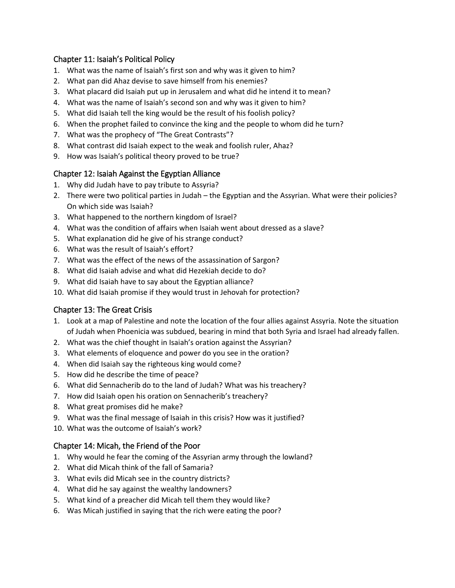#### Chapter 11: Isaiah's Political Policy

- 1. What was the name of Isaiah's first son and why was it given to him?
- 2. What pan did Ahaz devise to save himself from his enemies?
- 3. What placard did Isaiah put up in Jerusalem and what did he intend it to mean?
- 4. What was the name of Isaiah's second son and why was it given to him?
- 5. What did Isaiah tell the king would be the result of his foolish policy?
- 6. When the prophet failed to convince the king and the people to whom did he turn?
- 7. What was the prophecy of "The Great Contrasts"?
- 8. What contrast did Isaiah expect to the weak and foolish ruler, Ahaz?
- 9. How was Isaiah's political theory proved to be true?

## Chapter 12: Isaiah Against the Egyptian Alliance

- 1. Why did Judah have to pay tribute to Assyria?
- 2. There were two political parties in Judah the Egyptian and the Assyrian. What were their policies? On which side was Isaiah?
- 3. What happened to the northern kingdom of Israel?
- 4. What was the condition of affairs when Isaiah went about dressed as a slave?
- 5. What explanation did he give of his strange conduct?
- 6. What was the result of Isaiah's effort?
- 7. What was the effect of the news of the assassination of Sargon?
- 8. What did Isaiah advise and what did Hezekiah decide to do?
- 9. What did Isaiah have to say about the Egyptian alliance?
- 10. What did Isaiah promise if they would trust in Jehovah for protection?

## Chapter 13: The Great Crisis

- 1. Look at a map of Palestine and note the location of the four allies against Assyria. Note the situation of Judah when Phoenicia was subdued, bearing in mind that both Syria and Israel had already fallen.
- 2. What was the chief thought in Isaiah's oration against the Assyrian?
- 3. What elements of eloquence and power do you see in the oration?
- 4. When did Isaiah say the righteous king would come?
- 5. How did he describe the time of peace?
- 6. What did Sennacherib do to the land of Judah? What was his treachery?
- 7. How did Isaiah open his oration on Sennacherib's treachery?
- 8. What great promises did he make?
- 9. What was the final message of Isaiah in this crisis? How was it justified?
- 10. What was the outcome of Isaiah's work?

## Chapter 14: Micah, the Friend of the Poor

- 1. Why would he fear the coming of the Assyrian army through the lowland?
- 2. What did Micah think of the fall of Samaria?
- 3. What evils did Micah see in the country districts?
- 4. What did he say against the wealthy landowners?
- 5. What kind of a preacher did Micah tell them they would like?
- 6. Was Micah justified in saying that the rich were eating the poor?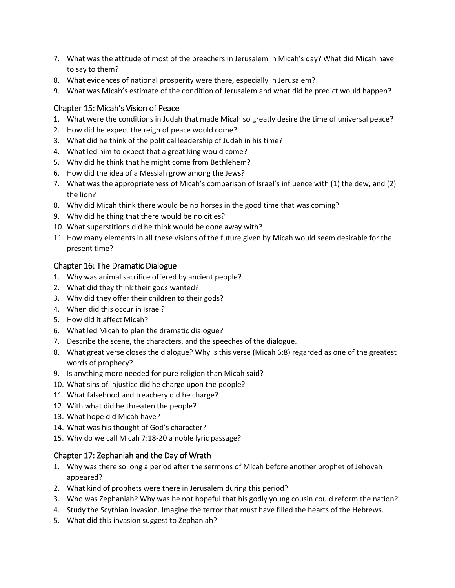- 7. What was the attitude of most of the preachers in Jerusalem in Micah's day? What did Micah have to say to them?
- 8. What evidences of national prosperity were there, especially in Jerusalem?
- 9. What was Micah's estimate of the condition of Jerusalem and what did he predict would happen?

#### Chapter 15: Micah's Vision of Peace

- 1. What were the conditions in Judah that made Micah so greatly desire the time of universal peace?
- 2. How did he expect the reign of peace would come?
- 3. What did he think of the political leadership of Judah in his time?
- 4. What led him to expect that a great king would come?
- 5. Why did he think that he might come from Bethlehem?
- 6. How did the idea of a Messiah grow among the Jews?
- 7. What was the appropriateness of Micah's comparison of Israel's influence with (1) the dew, and (2) the lion?
- 8. Why did Micah think there would be no horses in the good time that was coming?
- 9. Why did he thing that there would be no cities?
- 10. What superstitions did he think would be done away with?
- 11. How many elements in all these visions of the future given by Micah would seem desirable for the present time?

#### Chapter 16: The Dramatic Dialogue

- 1. Why was animal sacrifice offered by ancient people?
- 2. What did they think their gods wanted?
- 3. Why did they offer their children to their gods?
- 4. When did this occur in Israel?
- 5. How did it affect Micah?
- 6. What led Micah to plan the dramatic dialogue?
- 7. Describe the scene, the characters, and the speeches of the dialogue.
- 8. What great verse closes the dialogue? Why is this verse (Micah 6:8) regarded as one of the greatest words of prophecy?
- 9. Is anything more needed for pure religion than Micah said?
- 10. What sins of injustice did he charge upon the people?
- 11. What falsehood and treachery did he charge?
- 12. With what did he threaten the people?
- 13. What hope did Micah have?
- 14. What was his thought of God's character?
- 15. Why do we call Micah 7:18-20 a noble lyric passage?

#### Chapter 17: Zephaniah and the Day of Wrath

- 1. Why was there so long a period after the sermons of Micah before another prophet of Jehovah appeared?
- 2. What kind of prophets were there in Jerusalem during this period?
- 3. Who was Zephaniah? Why was he not hopeful that his godly young cousin could reform the nation?
- 4. Study the Scythian invasion. Imagine the terror that must have filled the hearts of the Hebrews.
- 5. What did this invasion suggest to Zephaniah?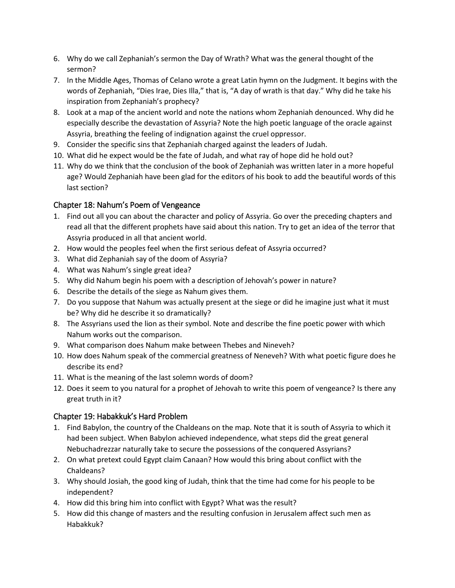- 6. Why do we call Zephaniah's sermon the Day of Wrath? What was the general thought of the sermon?
- 7. In the Middle Ages, Thomas of Celano wrote a great Latin hymn on the Judgment. It begins with the words of Zephaniah, "Dies Irae, Dies Illa," that is, "A day of wrath is that day." Why did he take his inspiration from Zephaniah's prophecy?
- 8. Look at a map of the ancient world and note the nations whom Zephaniah denounced. Why did he especially describe the devastation of Assyria? Note the high poetic language of the oracle against Assyria, breathing the feeling of indignation against the cruel oppressor.
- 9. Consider the specific sins that Zephaniah charged against the leaders of Judah.
- 10. What did he expect would be the fate of Judah, and what ray of hope did he hold out?
- 11. Why do we think that the conclusion of the book of Zephaniah was written later in a more hopeful age? Would Zephaniah have been glad for the editors of his book to add the beautiful words of this last section?

## Chapter 18: Nahum's Poem of Vengeance

- 1. Find out all you can about the character and policy of Assyria. Go over the preceding chapters and read all that the different prophets have said about this nation. Try to get an idea of the terror that Assyria produced in all that ancient world.
- 2. How would the peoples feel when the first serious defeat of Assyria occurred?
- 3. What did Zephaniah say of the doom of Assyria?
- 4. What was Nahum's single great idea?
- 5. Why did Nahum begin his poem with a description of Jehovah's power in nature?
- 6. Describe the details of the siege as Nahum gives them.
- 7. Do you suppose that Nahum was actually present at the siege or did he imagine just what it must be? Why did he describe it so dramatically?
- 8. The Assyrians used the lion as their symbol. Note and describe the fine poetic power with which Nahum works out the comparison.
- 9. What comparison does Nahum make between Thebes and Nineveh?
- 10. How does Nahum speak of the commercial greatness of Neneveh? With what poetic figure does he describe its end?
- 11. What is the meaning of the last solemn words of doom?
- 12. Does it seem to you natural for a prophet of Jehovah to write this poem of vengeance? Is there any great truth in it?

## Chapter 19: Habakkuk's Hard Problem

- 1. Find Babylon, the country of the Chaldeans on the map. Note that it is south of Assyria to which it had been subject. When Babylon achieved independence, what steps did the great general Nebuchadrezzar naturally take to secure the possessions of the conquered Assyrians?
- 2. On what pretext could Egypt claim Canaan? How would this bring about conflict with the Chaldeans?
- 3. Why should Josiah, the good king of Judah, think that the time had come for his people to be independent?
- 4. How did this bring him into conflict with Egypt? What was the result?
- 5. How did this change of masters and the resulting confusion in Jerusalem affect such men as Habakkuk?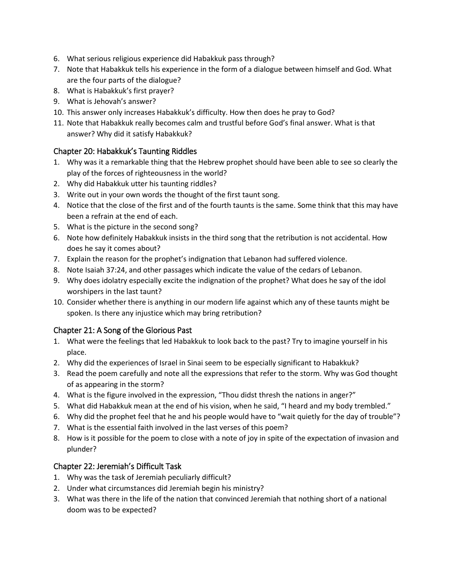- 6. What serious religious experience did Habakkuk pass through?
- 7. Note that Habakkuk tells his experience in the form of a dialogue between himself and God. What are the four parts of the dialogue?
- 8. What is Habakkuk's first prayer?
- 9. What is Jehovah's answer?
- 10. This answer only increases Habakkuk's difficulty. How then does he pray to God?
- 11. Note that Habakkuk really becomes calm and trustful before God's final answer. What is that answer? Why did it satisfy Habakkuk?

#### Chapter 20: Habakkuk's Taunting Riddles

- 1. Why was it a remarkable thing that the Hebrew prophet should have been able to see so clearly the play of the forces of righteousness in the world?
- 2. Why did Habakkuk utter his taunting riddles?
- 3. Write out in your own words the thought of the first taunt song.
- 4. Notice that the close of the first and of the fourth taunts is the same. Some think that this may have been a refrain at the end of each.
- 5. What is the picture in the second song?
- 6. Note how definitely Habakkuk insists in the third song that the retribution is not accidental. How does he say it comes about?
- 7. Explain the reason for the prophet's indignation that Lebanon had suffered violence.
- 8. Note Isaiah 37:24, and other passages which indicate the value of the cedars of Lebanon.
- 9. Why does idolatry especially excite the indignation of the prophet? What does he say of the idol worshipers in the last taunt?
- 10. Consider whether there is anything in our modern life against which any of these taunts might be spoken. Is there any injustice which may bring retribution?

#### Chapter 21: A Song of the Glorious Past

- 1. What were the feelings that led Habakkuk to look back to the past? Try to imagine yourself in his place.
- 2. Why did the experiences of Israel in Sinai seem to be especially significant to Habakkuk?
- 3. Read the poem carefully and note all the expressions that refer to the storm. Why was God thought of as appearing in the storm?
- 4. What is the figure involved in the expression, "Thou didst thresh the nations in anger?"
- 5. What did Habakkuk mean at the end of his vision, when he said, "I heard and my body trembled."
- 6. Why did the prophet feel that he and his people would have to "wait quietly for the day of trouble"?
- 7. What is the essential faith involved in the last verses of this poem?
- 8. How is it possible for the poem to close with a note of joy in spite of the expectation of invasion and plunder?

#### Chapter 22: Jeremiah's Difficult Task

- 1. Why was the task of Jeremiah peculiarly difficult?
- 2. Under what circumstances did Jeremiah begin his ministry?
- 3. What was there in the life of the nation that convinced Jeremiah that nothing short of a national doom was to be expected?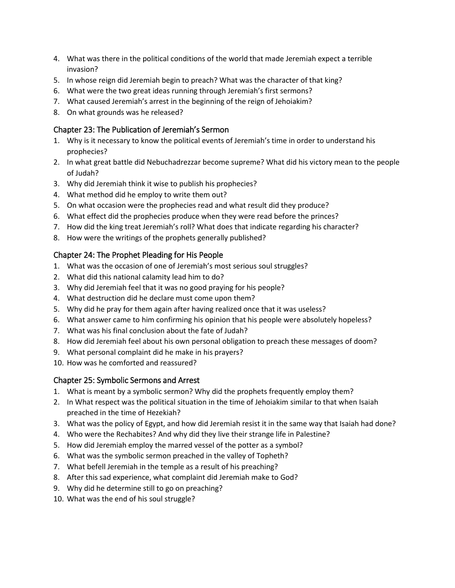- 4. What was there in the political conditions of the world that made Jeremiah expect a terrible invasion?
- 5. In whose reign did Jeremiah begin to preach? What was the character of that king?
- 6. What were the two great ideas running through Jeremiah's first sermons?
- 7. What caused Jeremiah's arrest in the beginning of the reign of Jehoiakim?
- 8. On what grounds was he released?

## Chapter 23: The Publication of Jeremiah's Sermon

- 1. Why is it necessary to know the political events of Jeremiah's time in order to understand his prophecies?
- 2. In what great battle did Nebuchadrezzar become supreme? What did his victory mean to the people of Judah?
- 3. Why did Jeremiah think it wise to publish his prophecies?
- 4. What method did he employ to write them out?
- 5. On what occasion were the prophecies read and what result did they produce?
- 6. What effect did the prophecies produce when they were read before the princes?
- 7. How did the king treat Jeremiah's roll? What does that indicate regarding his character?
- 8. How were the writings of the prophets generally published?

## Chapter 24: The Prophet Pleading for His People

- 1. What was the occasion of one of Jeremiah's most serious soul struggles?
- 2. What did this national calamity lead him to do?
- 3. Why did Jeremiah feel that it was no good praying for his people?
- 4. What destruction did he declare must come upon them?
- 5. Why did he pray for them again after having realized once that it was useless?
- 6. What answer came to him confirming his opinion that his people were absolutely hopeless?
- 7. What was his final conclusion about the fate of Judah?
- 8. How did Jeremiah feel about his own personal obligation to preach these messages of doom?
- 9. What personal complaint did he make in his prayers?
- 10. How was he comforted and reassured?

## Chapter 25: Symbolic Sermons and Arrest

- 1. What is meant by a symbolic sermon? Why did the prophets frequently employ them?
- 2. In What respect was the political situation in the time of Jehoiakim similar to that when Isaiah preached in the time of Hezekiah?
- 3. What was the policy of Egypt, and how did Jeremiah resist it in the same way that Isaiah had done?
- 4. Who were the Rechabites? And why did they live their strange life in Palestine?
- 5. How did Jeremiah employ the marred vessel of the potter as a symbol?
- 6. What was the symbolic sermon preached in the valley of Topheth?
- 7. What befell Jeremiah in the temple as a result of his preaching?
- 8. After this sad experience, what complaint did Jeremiah make to God?
- 9. Why did he determine still to go on preaching?
- 10. What was the end of his soul struggle?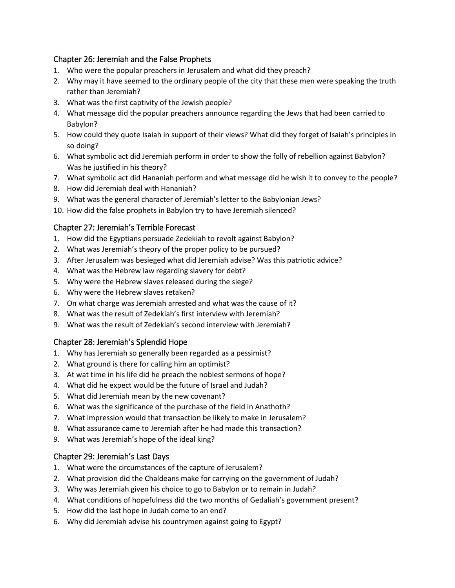#### Chapter 26: Jeremiah and the False Prophets

- 1. Who were the popular preachers in Jerusalem and what did they preach?
- 2. Why may it have seemed to the ordinary people of the city that these men were speaking the truth rather than Jeremiah?
- 3. What was the first captivity of the Jewish people?
- 4. What message did the popular preachers announce regarding the Jews that had been carried to Babylon?
- 5. How could they quote Isaiah in support of their views? What did they forget of Isaiah's principles in so doing?
- 6. What symbolic act did Jeremiah perform in order to show the folly of rebellion against Babylon? Was he justified in his theory?
- 7. What symbolic act did Hananiah perform and what message did he wish it to convey to the people?
- 8. How did Jeremiah deal with Hananiah?
- 9. What was the general character of Jeremiah's letter to the Babylonian Jews?
- 10. How did the false prophets in Babylon try to have Jeremiah silenced?

## Chapter 27: Jeremiah's Terrible Forecast

- 1. How did the Egyptians persuade Zedekiah to revolt against Babylon?
- 2. What was Jeremiah's theory of the proper policy to be pursued?
- 3. After Jerusalem was besieged what did Jeremiah advise? Was this patriotic advice?
- 4. What was the Hebrew law regarding slavery for debt?
- 5. Why were the Hebrew slaves released during the siege?
- 6. Why were the Hebrew slaves retaken?
- 7. On what charge was Jeremiah arrested and what was the cause of it?
- 8. What was the result of Zedekiah's first interview with Jeremiah?
- 9. What was the result of Zedekiah's second interview with Jeremiah?

## Chapter 28: Jeremiah's Splendid Hope

- 1. Why has Jeremiah so generally been regarded as a pessimist?
- 2. What ground is there for calling him an optimist?
- 3. At wat time in his life did he preach the noblest sermons of hope?
- 4. What did he expect would be the future of Israel and Judah?
- 5. What did Jeremiah mean by the new covenant?
- 6. What was the significance of the purchase of the field in Anathoth?
- 7. What impression would that transaction be likely to make in Jerusalem?
- 8. What assurance came to Jeremiah after he had made this transaction?
- 9. What was Jeremiah's hope of the ideal king?

## Chapter 29: Jeremiah's Last Days

- 1. What were the circumstances of the capture of Jerusalem?
- 2. What provision did the Chaldeans make for carrying on the government of Judah?
- 3. Why was Jeremiah given his choice to go to Babylon or to remain in Judah?
- 4. What conditions of hopefulness did the two months of Gedaliah's government present?
- 5. How did the last hope in Judah come to an end?
- 6. Why did Jeremiah advise his countrymen against going to Egypt?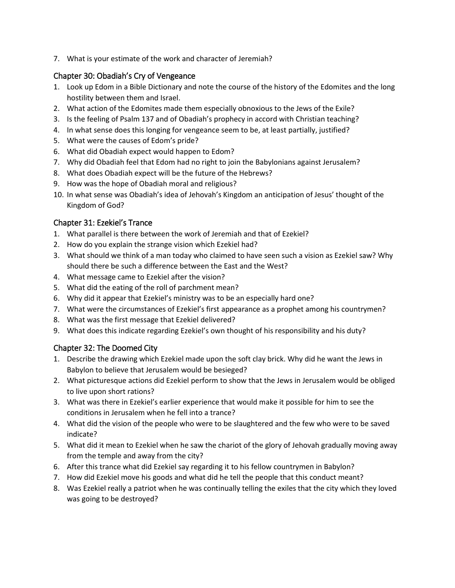7. What is your estimate of the work and character of Jeremiah?

#### Chapter 30: Obadiah's Cry of Vengeance

- 1. Look up Edom in a Bible Dictionary and note the course of the history of the Edomites and the long hostility between them and Israel.
- 2. What action of the Edomites made them especially obnoxious to the Jews of the Exile?
- 3. Is the feeling of Psalm 137 and of Obadiah's prophecy in accord with Christian teaching?
- 4. In what sense does this longing for vengeance seem to be, at least partially, justified?
- 5. What were the causes of Edom's pride?
- 6. What did Obadiah expect would happen to Edom?
- 7. Why did Obadiah feel that Edom had no right to join the Babylonians against Jerusalem?
- 8. What does Obadiah expect will be the future of the Hebrews?
- 9. How was the hope of Obadiah moral and religious?
- 10. In what sense was Obadiah's idea of Jehovah's Kingdom an anticipation of Jesus' thought of the Kingdom of God?

## Chapter 31: Ezekiel's Trance

- 1. What parallel is there between the work of Jeremiah and that of Ezekiel?
- 2. How do you explain the strange vision which Ezekiel had?
- 3. What should we think of a man today who claimed to have seen such a vision as Ezekiel saw? Why should there be such a difference between the East and the West?
- 4. What message came to Ezekiel after the vision?
- 5. What did the eating of the roll of parchment mean?
- 6. Why did it appear that Ezekiel's ministry was to be an especially hard one?
- 7. What were the circumstances of Ezekiel's first appearance as a prophet among his countrymen?
- 8. What was the first message that Ezekiel delivered?
- 9. What does this indicate regarding Ezekiel's own thought of his responsibility and his duty?

## Chapter 32: The Doomed City

- 1. Describe the drawing which Ezekiel made upon the soft clay brick. Why did he want the Jews in Babylon to believe that Jerusalem would be besieged?
- 2. What picturesque actions did Ezekiel perform to show that the Jews in Jerusalem would be obliged to live upon short rations?
- 3. What was there in Ezekiel's earlier experience that would make it possible for him to see the conditions in Jerusalem when he fell into a trance?
- 4. What did the vision of the people who were to be slaughtered and the few who were to be saved indicate?
- 5. What did it mean to Ezekiel when he saw the chariot of the glory of Jehovah gradually moving away from the temple and away from the city?
- 6. After this trance what did Ezekiel say regarding it to his fellow countrymen in Babylon?
- 7. How did Ezekiel move his goods and what did he tell the people that this conduct meant?
- 8. Was Ezekiel really a patriot when he was continually telling the exiles that the city which they loved was going to be destroyed?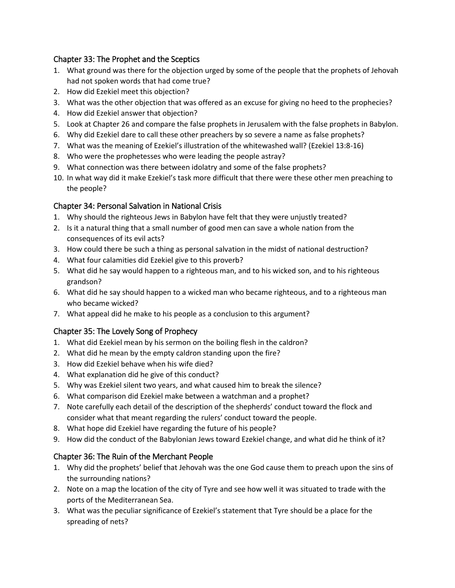## Chapter 33: The Prophet and the Sceptics

- 1. What ground was there for the objection urged by some of the people that the prophets of Jehovah had not spoken words that had come true?
- 2. How did Ezekiel meet this objection?
- 3. What was the other objection that was offered as an excuse for giving no heed to the prophecies?
- 4. How did Ezekiel answer that objection?
- 5. Look at Chapter 26 and compare the false prophets in Jerusalem with the false prophets in Babylon.
- 6. Why did Ezekiel dare to call these other preachers by so severe a name as false prophets?
- 7. What was the meaning of Ezekiel's illustration of the whitewashed wall? (Ezekiel 13:8-16)
- 8. Who were the prophetesses who were leading the people astray?
- 9. What connection was there between idolatry and some of the false prophets?
- 10. In what way did it make Ezekiel's task more difficult that there were these other men preaching to the people?

# Chapter 34: Personal Salvation in National Crisis

- 1. Why should the righteous Jews in Babylon have felt that they were unjustly treated?
- 2. Is it a natural thing that a small number of good men can save a whole nation from the consequences of its evil acts?
- 3. How could there be such a thing as personal salvation in the midst of national destruction?
- 4. What four calamities did Ezekiel give to this proverb?
- 5. What did he say would happen to a righteous man, and to his wicked son, and to his righteous grandson?
- 6. What did he say should happen to a wicked man who became righteous, and to a righteous man who became wicked?
- 7. What appeal did he make to his people as a conclusion to this argument?

# Chapter 35: The Lovely Song of Prophecy

- 1. What did Ezekiel mean by his sermon on the boiling flesh in the caldron?
- 2. What did he mean by the empty caldron standing upon the fire?
- 3. How did Ezekiel behave when his wife died?
- 4. What explanation did he give of this conduct?
- 5. Why was Ezekiel silent two years, and what caused him to break the silence?
- 6. What comparison did Ezekiel make between a watchman and a prophet?
- 7. Note carefully each detail of the description of the shepherds' conduct toward the flock and consider what that meant regarding the rulers' conduct toward the people.
- 8. What hope did Ezekiel have regarding the future of his people?
- 9. How did the conduct of the Babylonian Jews toward Ezekiel change, and what did he think of it?

# Chapter 36: The Ruin of the Merchant People

- 1. Why did the prophets' belief that Jehovah was the one God cause them to preach upon the sins of the surrounding nations?
- 2. Note on a map the location of the city of Tyre and see how well it was situated to trade with the ports of the Mediterranean Sea.
- 3. What was the peculiar significance of Ezekiel's statement that Tyre should be a place for the spreading of nets?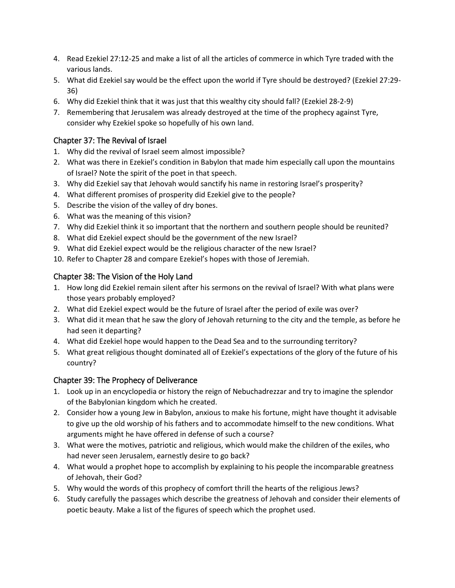- 4. Read Ezekiel 27:12-25 and make a list of all the articles of commerce in which Tyre traded with the various lands.
- 5. What did Ezekiel say would be the effect upon the world if Tyre should be destroyed? (Ezekiel 27:29- 36)
- 6. Why did Ezekiel think that it was just that this wealthy city should fall? (Ezekiel 28-2-9)
- 7. Remembering that Jerusalem was already destroyed at the time of the prophecy against Tyre, consider why Ezekiel spoke so hopefully of his own land.

## Chapter 37: The Revival of Israel

- 1. Why did the revival of Israel seem almost impossible?
- 2. What was there in Ezekiel's condition in Babylon that made him especially call upon the mountains of Israel? Note the spirit of the poet in that speech.
- 3. Why did Ezekiel say that Jehovah would sanctify his name in restoring Israel's prosperity?
- 4. What different promises of prosperity did Ezekiel give to the people?
- 5. Describe the vision of the valley of dry bones.
- 6. What was the meaning of this vision?
- 7. Why did Ezekiel think it so important that the northern and southern people should be reunited?
- 8. What did Ezekiel expect should be the government of the new Israel?
- 9. What did Ezekiel expect would be the religious character of the new Israel?
- 10. Refer to Chapter 28 and compare Ezekiel's hopes with those of Jeremiah.

## Chapter 38: The Vision of the Holy Land

- 1. How long did Ezekiel remain silent after his sermons on the revival of Israel? With what plans were those years probably employed?
- 2. What did Ezekiel expect would be the future of Israel after the period of exile was over?
- 3. What did it mean that he saw the glory of Jehovah returning to the city and the temple, as before he had seen it departing?
- 4. What did Ezekiel hope would happen to the Dead Sea and to the surrounding territory?
- 5. What great religious thought dominated all of Ezekiel's expectations of the glory of the future of his country?

## Chapter 39: The Prophecy of Deliverance

- 1. Look up in an encyclopedia or history the reign of Nebuchadrezzar and try to imagine the splendor of the Babylonian kingdom which he created.
- 2. Consider how a young Jew in Babylon, anxious to make his fortune, might have thought it advisable to give up the old worship of his fathers and to accommodate himself to the new conditions. What arguments might he have offered in defense of such a course?
- 3. What were the motives, patriotic and religious, which would make the children of the exiles, who had never seen Jerusalem, earnestly desire to go back?
- 4. What would a prophet hope to accomplish by explaining to his people the incomparable greatness of Jehovah, their God?
- 5. Why would the words of this prophecy of comfort thrill the hearts of the religious Jews?
- 6. Study carefully the passages which describe the greatness of Jehovah and consider their elements of poetic beauty. Make a list of the figures of speech which the prophet used.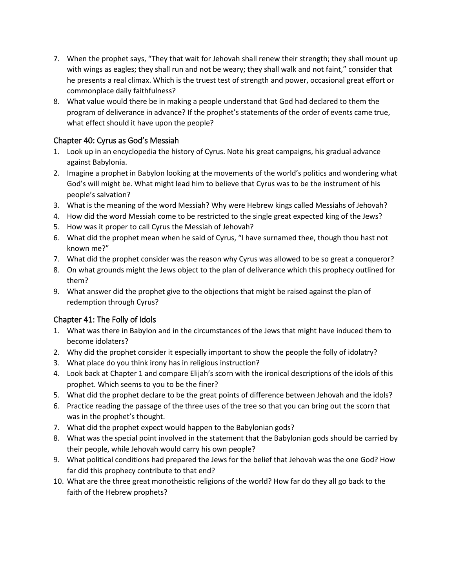- 7. When the prophet says, "They that wait for Jehovah shall renew their strength; they shall mount up with wings as eagles; they shall run and not be weary; they shall walk and not faint," consider that he presents a real climax. Which is the truest test of strength and power, occasional great effort or commonplace daily faithfulness?
- 8. What value would there be in making a people understand that God had declared to them the program of deliverance in advance? If the prophet's statements of the order of events came true, what effect should it have upon the people?

## Chapter 40: Cyrus as God's Messiah

- 1. Look up in an encyclopedia the history of Cyrus. Note his great campaigns, his gradual advance against Babylonia.
- 2. Imagine a prophet in Babylon looking at the movements of the world's politics and wondering what God's will might be. What might lead him to believe that Cyrus was to be the instrument of his people's salvation?
- 3. What is the meaning of the word Messiah? Why were Hebrew kings called Messiahs of Jehovah?
- 4. How did the word Messiah come to be restricted to the single great expected king of the Jews?
- 5. How was it proper to call Cyrus the Messiah of Jehovah?
- 6. What did the prophet mean when he said of Cyrus, "I have surnamed thee, though thou hast not known me?"
- 7. What did the prophet consider was the reason why Cyrus was allowed to be so great a conqueror?
- 8. On what grounds might the Jews object to the plan of deliverance which this prophecy outlined for them?
- 9. What answer did the prophet give to the objections that might be raised against the plan of redemption through Cyrus?

## Chapter 41: The Folly of Idols

- 1. What was there in Babylon and in the circumstances of the Jews that might have induced them to become idolaters?
- 2. Why did the prophet consider it especially important to show the people the folly of idolatry?
- 3. What place do you think irony has in religious instruction?
- 4. Look back at Chapter 1 and compare Elijah's scorn with the ironical descriptions of the idols of this prophet. Which seems to you to be the finer?
- 5. What did the prophet declare to be the great points of difference between Jehovah and the idols?
- 6. Practice reading the passage of the three uses of the tree so that you can bring out the scorn that was in the prophet's thought.
- 7. What did the prophet expect would happen to the Babylonian gods?
- 8. What was the special point involved in the statement that the Babylonian gods should be carried by their people, while Jehovah would carry his own people?
- 9. What political conditions had prepared the Jews for the belief that Jehovah was the one God? How far did this prophecy contribute to that end?
- 10. What are the three great monotheistic religions of the world? How far do they all go back to the faith of the Hebrew prophets?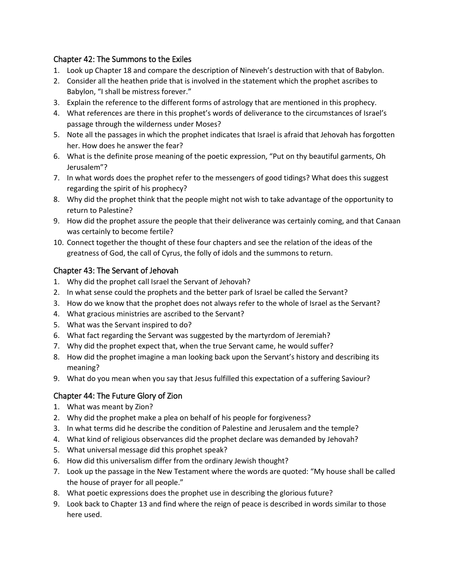#### Chapter 42: The Summons to the Exiles

- 1. Look up Chapter 18 and compare the description of Nineveh's destruction with that of Babylon.
- 2. Consider all the heathen pride that is involved in the statement which the prophet ascribes to Babylon, "I shall be mistress forever."
- 3. Explain the reference to the different forms of astrology that are mentioned in this prophecy.
- 4. What references are there in this prophet's words of deliverance to the circumstances of Israel's passage through the wilderness under Moses?
- 5. Note all the passages in which the prophet indicates that Israel is afraid that Jehovah has forgotten her. How does he answer the fear?
- 6. What is the definite prose meaning of the poetic expression, "Put on thy beautiful garments, Oh Jerusalem"?
- 7. In what words does the prophet refer to the messengers of good tidings? What does this suggest regarding the spirit of his prophecy?
- 8. Why did the prophet think that the people might not wish to take advantage of the opportunity to return to Palestine?
- 9. How did the prophet assure the people that their deliverance was certainly coming, and that Canaan was certainly to become fertile?
- 10. Connect together the thought of these four chapters and see the relation of the ideas of the greatness of God, the call of Cyrus, the folly of idols and the summons to return.

#### Chapter 43: The Servant of Jehovah

- 1. Why did the prophet call Israel the Servant of Jehovah?
- 2. In what sense could the prophets and the better park of Israel be called the Servant?
- 3. How do we know that the prophet does not always refer to the whole of Israel as the Servant?
- 4. What gracious ministries are ascribed to the Servant?
- 5. What was the Servant inspired to do?
- 6. What fact regarding the Servant was suggested by the martyrdom of Jeremiah?
- 7. Why did the prophet expect that, when the true Servant came, he would suffer?
- 8. How did the prophet imagine a man looking back upon the Servant's history and describing its meaning?
- 9. What do you mean when you say that Jesus fulfilled this expectation of a suffering Saviour?

## Chapter 44: The Future Glory of Zion

- 1. What was meant by Zion?
- 2. Why did the prophet make a plea on behalf of his people for forgiveness?
- 3. In what terms did he describe the condition of Palestine and Jerusalem and the temple?
- 4. What kind of religious observances did the prophet declare was demanded by Jehovah?
- 5. What universal message did this prophet speak?
- 6. How did this universalism differ from the ordinary Jewish thought?
- 7. Look up the passage in the New Testament where the words are quoted: "My house shall be called the house of prayer for all people."
- 8. What poetic expressions does the prophet use in describing the glorious future?
- 9. Look back to Chapter 13 and find where the reign of peace is described in words similar to those here used.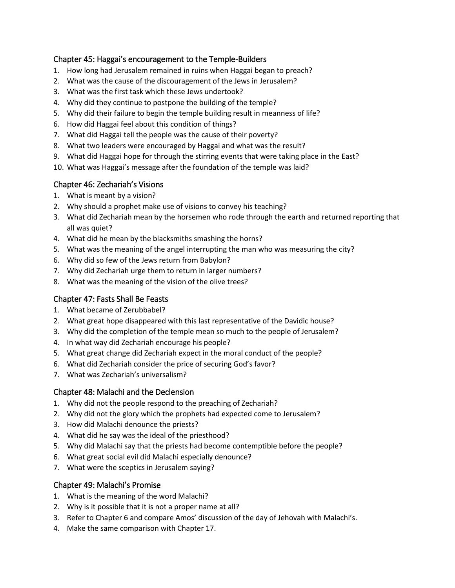#### Chapter 45: Haggai's encouragement to the Temple-Builders

- 1. How long had Jerusalem remained in ruins when Haggai began to preach?
- 2. What was the cause of the discouragement of the Jews in Jerusalem?
- 3. What was the first task which these Jews undertook?
- 4. Why did they continue to postpone the building of the temple?
- 5. Why did their failure to begin the temple building result in meanness of life?
- 6. How did Haggai feel about this condition of things?
- 7. What did Haggai tell the people was the cause of their poverty?
- 8. What two leaders were encouraged by Haggai and what was the result?
- 9. What did Haggai hope for through the stirring events that were taking place in the East?
- 10. What was Haggai's message after the foundation of the temple was laid?

#### Chapter 46: Zechariah's Visions

- 1. What is meant by a vision?
- 2. Why should a prophet make use of visions to convey his teaching?
- 3. What did Zechariah mean by the horsemen who rode through the earth and returned reporting that all was quiet?
- 4. What did he mean by the blacksmiths smashing the horns?
- 5. What was the meaning of the angel interrupting the man who was measuring the city?
- 6. Why did so few of the Jews return from Babylon?
- 7. Why did Zechariah urge them to return in larger numbers?
- 8. What was the meaning of the vision of the olive trees?

#### Chapter 47: Fasts Shall Be Feasts

- 1. What became of Zerubbabel?
- 2. What great hope disappeared with this last representative of the Davidic house?
- 3. Why did the completion of the temple mean so much to the people of Jerusalem?
- 4. In what way did Zechariah encourage his people?
- 5. What great change did Zechariah expect in the moral conduct of the people?
- 6. What did Zechariah consider the price of securing God's favor?
- 7. What was Zechariah's universalism?

#### Chapter 48: Malachi and the Declension

- 1. Why did not the people respond to the preaching of Zechariah?
- 2. Why did not the glory which the prophets had expected come to Jerusalem?
- 3. How did Malachi denounce the priests?
- 4. What did he say was the ideal of the priesthood?
- 5. Why did Malachi say that the priests had become contemptible before the people?
- 6. What great social evil did Malachi especially denounce?
- 7. What were the sceptics in Jerusalem saying?

#### Chapter 49: Malachi's Promise

- 1. What is the meaning of the word Malachi?
- 2. Why is it possible that it is not a proper name at all?
- 3. Refer to Chapter 6 and compare Amos' discussion of the day of Jehovah with Malachi's.
- 4. Make the same comparison with Chapter 17.